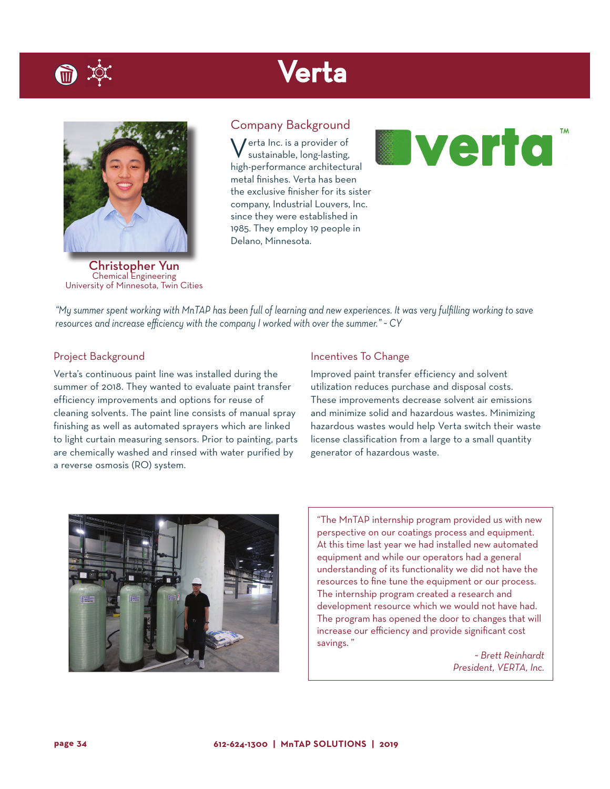## Verta



Christopher Yun Chemical Engineering University of Minnesota, Twin Cities

### Company Background

Verta Inc. is a provider of sustainable, long-lasting, high-performance architectural metal finishes. Verta has been the exclusive finisher for its sister company, Industrial Louvers, Inc. since they were established in 1985. They employ 19 people in Delano, Minnesota.



*"My summer spent working with MnTAP has been full of learning and new experiences. It was very fulfilling working to save resources and increase efficiency with the company I worked with over the summer." ~ CY*

### Project Background

Verta's continuous paint line was installed during the summer of 2018. They wanted to evaluate paint transfer efficiency improvements and options for reuse of cleaning solvents. The paint line consists of manual spray finishing as well as automated sprayers which are linked to light curtain measuring sensors. Prior to painting, parts are chemically washed and rinsed with water purified by a reverse osmosis (RO) system.

#### Incentives To Change

Improved paint transfer efficiency and solvent utilization reduces purchase and disposal costs. These improvements decrease solvent air emissions and minimize solid and hazardous wastes. Minimizing hazardous wastes would help Verta switch their waste license classification from a large to a small quantity generator of hazardous waste.



"The MnTAP internship program provided us with new perspective on our coatings process and equipment. At this time last year we had installed new automated equipment and while our operators had a general understanding of its functionality we did not have the resources to fine tune the equipment or our process. The internship program created a research and development resource which we would not have had. The program has opened the door to changes that will increase our efficiency and provide significant cost savings. "

> *~ Brett Reinhardt President, VERTA, Inc.*